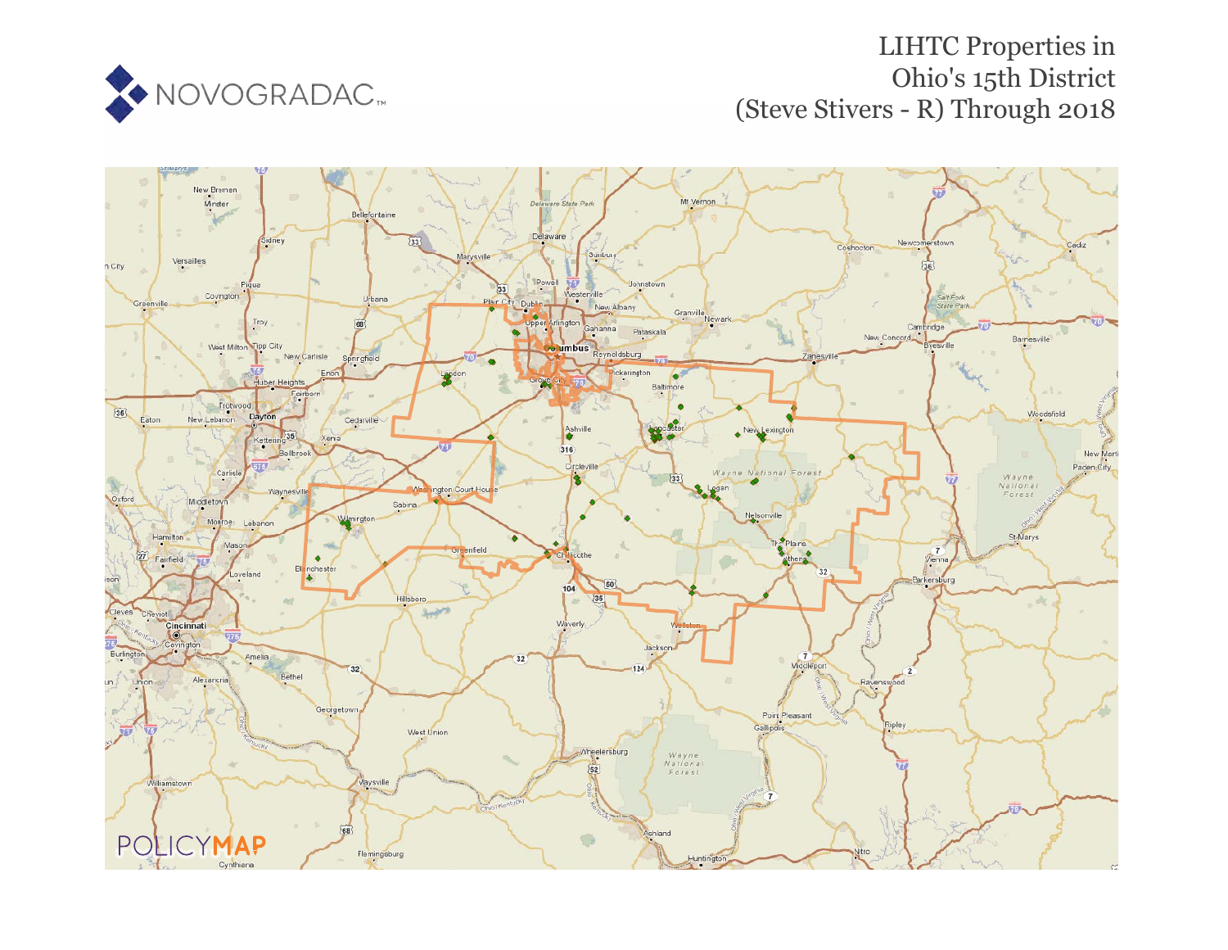

# LIHTC Properties in Ohio's 15th District (Steve Stivers - R) Through 2018

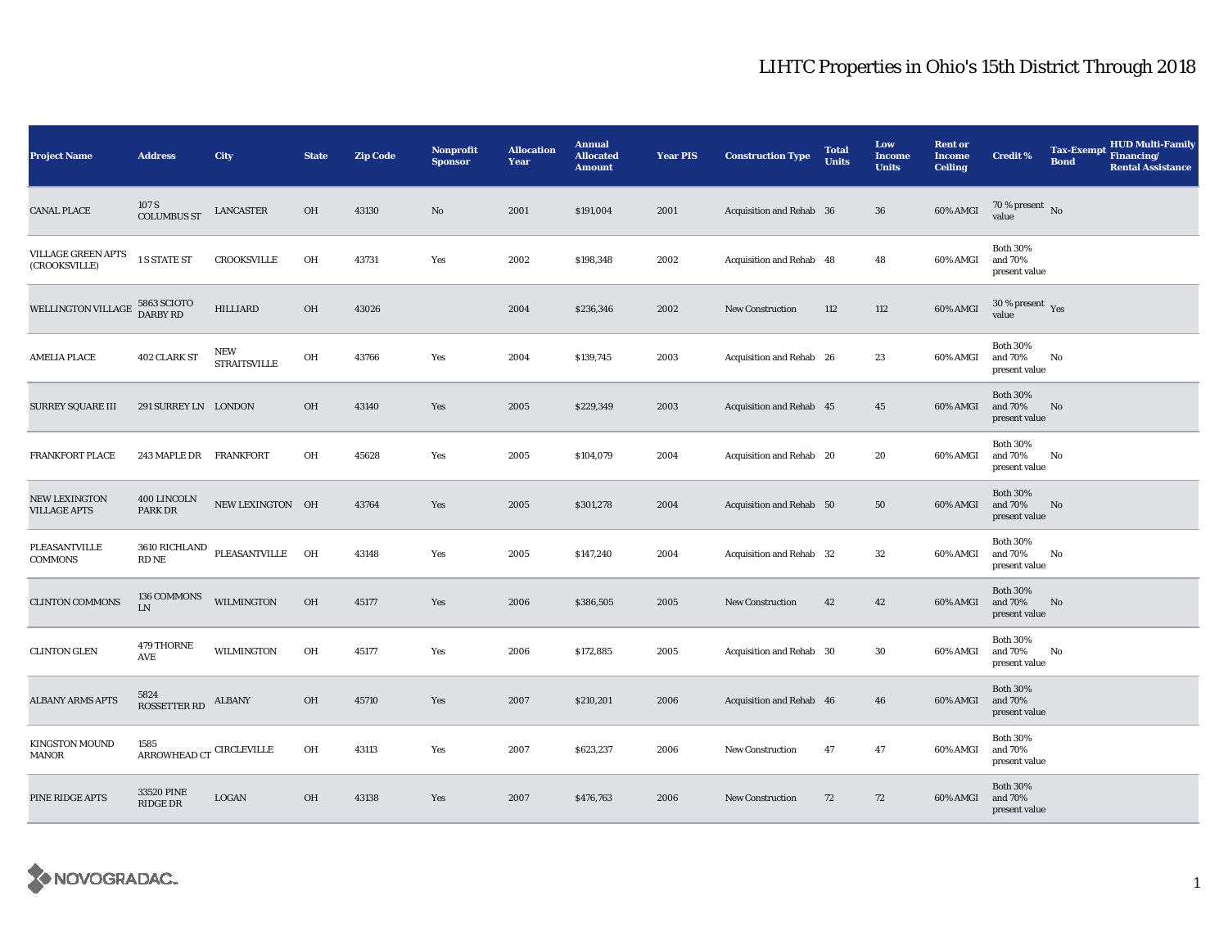| <b>Project Name</b>                         | <b>Address</b>                                                       | <b>City</b>                    | <b>State</b> | <b>Zip Code</b> | <b>Nonprofit</b><br><b>Sponsor</b> | <b>Allocation</b><br>Year | <b>Annual</b><br><b>Allocated</b><br><b>Amount</b> | <b>Year PIS</b> | <b>Construction Type</b> | <b>Total</b><br><b>Units</b> | Low<br><b>Income</b><br><b>Units</b> | <b>Rent or</b><br><b>Income</b><br><b>Ceiling</b> | <b>Credit %</b>                             | <b>Tax-Exempt</b><br><b>Bond</b> | <b>HUD Multi-Family</b><br>Financing/<br><b>Rental Assistance</b> |
|---------------------------------------------|----------------------------------------------------------------------|--------------------------------|--------------|-----------------|------------------------------------|---------------------------|----------------------------------------------------|-----------------|--------------------------|------------------------------|--------------------------------------|---------------------------------------------------|---------------------------------------------|----------------------------------|-------------------------------------------------------------------|
| <b>CANAL PLACE</b>                          | 107 S<br><b>COLUMBUS ST</b>                                          | LANCASTER                      | OH           | 43130           | $\mathbf{N}\mathbf{o}$             | 2001                      | \$191,004                                          | 2001            | Acquisition and Rehab 36 |                              | 36                                   | 60% AMGI                                          | 70 % present $\hbox{~No}$<br>value          |                                  |                                                                   |
| VILLAGE GREEN APTS<br>(CROOKSVILLE)         | 1 S STATE ST                                                         | <b>CROOKSVILLE</b>             | OH           | 43731           | Yes                                | 2002                      | \$198,348                                          | 2002            | Acquisition and Rehab 48 |                              | 48                                   | 60% AMGI                                          | <b>Both 30%</b><br>and 70%<br>present value |                                  |                                                                   |
| WELLINGTON VILLAGE 5863 SCIOTO              |                                                                      | <b>HILLIARD</b>                | OH           | 43026           |                                    | 2004                      | \$236,346                                          | 2002            | <b>New Construction</b>  | 112                          | 112                                  | 60% AMGI                                          | $30\,\%$ present $\,$ Yes value             |                                  |                                                                   |
| <b>AMELIA PLACE</b>                         | 402 CLARK ST                                                         | NEW<br><b>STRAITSVILLE</b>     | OH           | 43766           | Yes                                | 2004                      | \$139,745                                          | 2003            | Acquisition and Rehab 26 |                              | 23                                   | 60% AMGI                                          | <b>Both 30%</b><br>and 70%<br>present value | No                               |                                                                   |
| <b>SURREY SQUARE III</b>                    | 291 SURREY LN LONDON                                                 |                                | OH           | 43140           | Yes                                | 2005                      | \$229,349                                          | 2003            | Acquisition and Rehab 45 |                              | 45                                   | 60% AMGI                                          | <b>Both 30%</b><br>and 70%<br>present value | No                               |                                                                   |
| FRANKFORT PLACE                             | 243 MAPLE DR FRANKFORT                                               |                                | OH           | 45628           | Yes                                | 2005                      | \$104,079                                          | 2004            | Acquisition and Rehab 20 |                              | 20                                   | 60% AMGI                                          | <b>Both 30%</b><br>and 70%<br>present value | No                               |                                                                   |
| <b>NEW LEXINGTON</b><br><b>VILLAGE APTS</b> | 400 LINCOLN<br>PARK DR                                               | NEW LEXINGTON OH               |              | 43764           | Yes                                | 2005                      | \$301,278                                          | 2004            | Acquisition and Rehab 50 |                              | 50                                   | 60% AMGI                                          | <b>Both 30%</b><br>and 70%<br>present value | No                               |                                                                   |
| PLEASANTVILLE<br><b>COMMONS</b>             | RD NE                                                                | 3610 RICHLAND PLEASANTVILLE OH |              | 43148           | Yes                                | 2005                      | \$147,240                                          | 2004            | Acquisition and Rehab 32 |                              | 32                                   | 60% AMGI                                          | <b>Both 30%</b><br>and 70%<br>present value | No                               |                                                                   |
| <b>CLINTON COMMONS</b>                      | 136 COMMONS<br>${\rm LN}$                                            | <b>WILMINGTON</b>              | OH           | 45177           | Yes                                | 2006                      | \$386,505                                          | 2005            | New Construction         | 42                           | 42                                   | 60% AMGI                                          | <b>Both 30%</b><br>and 70%<br>present value | No                               |                                                                   |
| <b>CLINTON GLEN</b>                         | 479 THORNE<br>AVE                                                    | <b>WILMINGTON</b>              | OH           | 45177           | Yes                                | 2006                      | \$172,885                                          | 2005            | Acquisition and Rehab 30 |                              | 30                                   | 60% AMGI                                          | <b>Both 30%</b><br>and 70%<br>present value | No                               |                                                                   |
| <b>ALBANY ARMS APTS</b>                     | 5824<br><b>ROSSETTER RD</b>                                          | <b>ALBANY</b>                  | OH           | 45710           | Yes                                | 2007                      | \$210,201                                          | 2006            | Acquisition and Rehab 46 |                              | 46                                   | 60% AMGI                                          | <b>Both 30%</b><br>and 70%<br>present value |                                  |                                                                   |
| <b>KINGSTON MOUND</b><br>MANOR              | 1585<br>$\mbox{\sc ARROWHEAD}\mbox{\sc CT}$ $\mbox{\sc CIRCLEVILLE}$ |                                | OH           | 43113           | Yes                                | 2007                      | \$623,237                                          | 2006            | <b>New Construction</b>  | 47                           | 47                                   | 60% AMGI                                          | <b>Both 30%</b><br>and 70%<br>present value |                                  |                                                                   |
| PINE RIDGE APTS                             | 33520 PINE<br>RIDGE DR                                               | LOGAN                          | OH           | 43138           | Yes                                | 2007                      | \$476,763                                          | 2006            | <b>New Construction</b>  | 72                           | 72                                   | 60% AMGI                                          | <b>Both 30%</b><br>and 70%<br>present value |                                  |                                                                   |

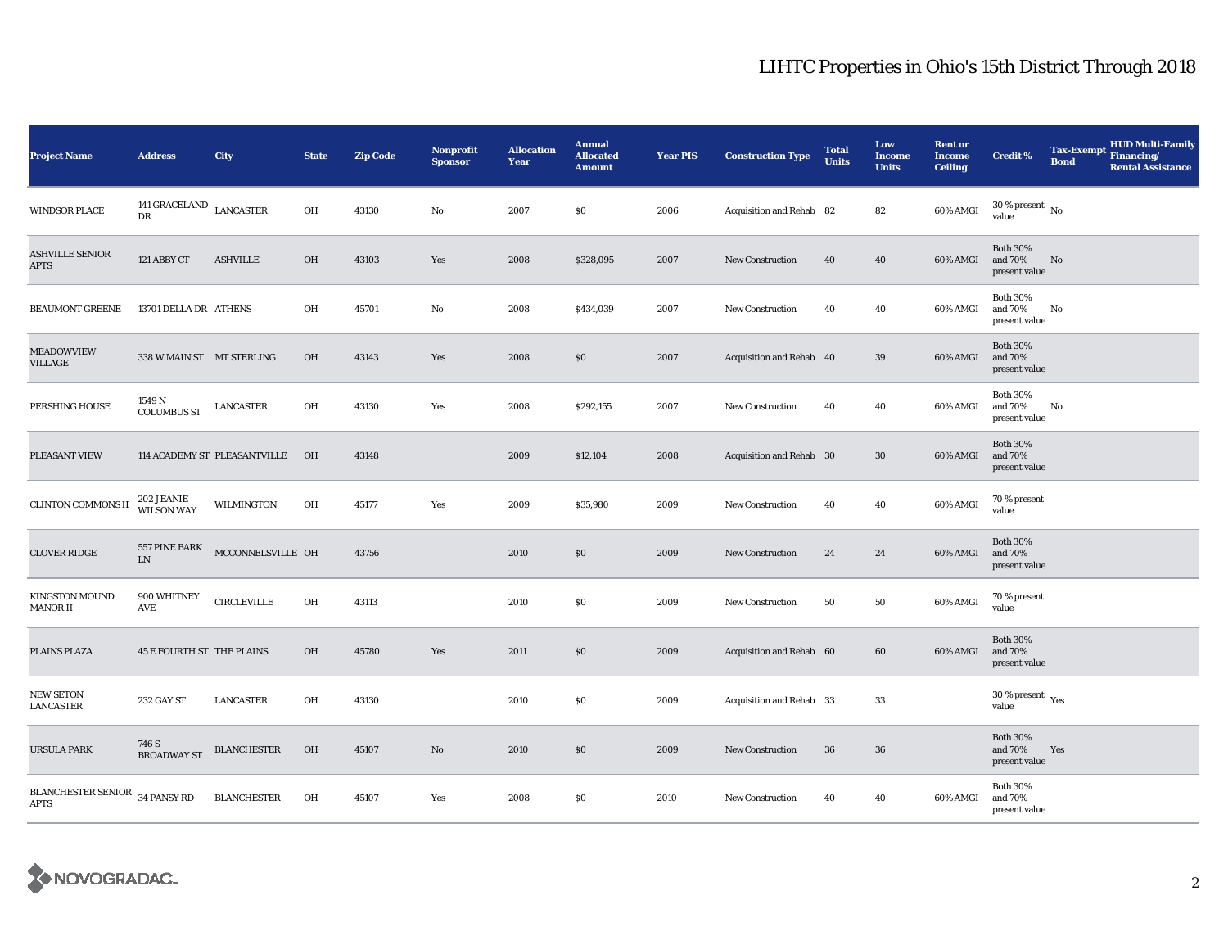| <b>Project Name</b>                                  | <b>Address</b>                   | City                            | <b>State</b>   | <b>Zip Code</b> | <b>Nonprofit</b><br><b>Sponsor</b> | <b>Allocation</b><br>Year | <b>Annual</b><br><b>Allocated</b><br><b>Amount</b> | <b>Year PIS</b> | <b>Construction Type</b> | <b>Total</b><br><b>Units</b> | Low<br><b>Income</b><br><b>Units</b> | <b>Rent or</b><br><b>Income</b><br><b>Ceiling</b> | <b>Credit %</b>                              | <b>Tax-Exempt</b><br><b>Bond</b> | HUD Multi-Family<br>Financing/<br><b>Rental Assistance</b> |
|------------------------------------------------------|----------------------------------|---------------------------------|----------------|-----------------|------------------------------------|---------------------------|----------------------------------------------------|-----------------|--------------------------|------------------------------|--------------------------------------|---------------------------------------------------|----------------------------------------------|----------------------------------|------------------------------------------------------------|
| <b>WINDSOR PLACE</b>                                 | 141 GRACELAND<br>DR              | <b>LANCASTER</b>                | OH             | 43130           | No                                 | 2007                      | \$0                                                | 2006            | Acquisition and Rehab 82 |                              | 82                                   | 60% AMGI                                          | $30$ % present $\,$ No $\,$<br>value         |                                  |                                                            |
| <b>ASHVILLE SENIOR</b><br><b>APTS</b>                | 121 ABBY CT                      | <b>ASHVILLE</b>                 | OH             | 43103           | Yes                                | 2008                      | \$328,095                                          | 2007            | New Construction         | 40                           | 40                                   | 60% AMGI                                          | <b>Both 30%</b><br>and 70%<br>present value  | No                               |                                                            |
| <b>BEAUMONT GREENE</b>                               | 13701 DELLA DR ATHENS            |                                 | OH             | 45701           | No                                 | 2008                      | \$434,039                                          | 2007            | <b>New Construction</b>  | 40                           | 40                                   | 60% AMGI                                          | <b>Both 30%</b><br>and 70%<br>present value  | No                               |                                                            |
| MEADOWVIEW<br>VILLAGE                                | 338 W MAIN ST MT STERLING        |                                 | OH             | 43143           | Yes                                | 2008                      | \$0                                                | 2007            | Acquisition and Rehab 40 |                              | 39                                   | 60% AMGI                                          | <b>Both 30%</b><br>and 70%<br>present value  |                                  |                                                            |
| PERSHING HOUSE                                       | 1549 N<br><b>COLUMBUS ST</b>     | <b>LANCASTER</b>                | OH             | 43130           | Yes                                | 2008                      | \$292,155                                          | 2007            | <b>New Construction</b>  | 40                           | 40                                   | 60% AMGI                                          | <b>Both 30%</b><br>and 70%<br>present value  | No                               |                                                            |
| PLEASANT VIEW                                        |                                  | 114 ACADEMY ST PLEASANTVILLE    | O <sub>H</sub> | 43148           |                                    | 2009                      | \$12,104                                           | 2008            | Acquisition and Rehab 30 |                              | 30                                   | 60% AMGI                                          | <b>Both 30%</b><br>and 70%<br>present value  |                                  |                                                            |
| <b>CLINTON COMMONS II</b>                            | 202 JEANIE<br>WILSON WAY         | <b>WILMINGTON</b>               | OH             | 45177           | Yes                                | 2009                      | \$35,980                                           | 2009            | <b>New Construction</b>  | 40                           | 40                                   | 60% AMGI                                          | 70 % present<br>value                        |                                  |                                                            |
| <b>CLOVER RIDGE</b>                                  | ${\rm LN}$                       | 557 PINE BARK MCCONNELSVILLE OH |                | 43756           |                                    | 2010                      | \$0                                                | 2009            | New Construction         | 24                           | 24                                   | 60% AMGI                                          | <b>Both 30%</b><br>and 70%<br>present value  |                                  |                                                            |
| <b>KINGSTON MOUND</b><br><b>MANOR II</b>             | 900 WHITNEY<br>AVE               | <b>CIRCLEVILLE</b>              | OH             | 43113           |                                    | 2010                      | \$0                                                | 2009            | New Construction         | 50                           | 50                                   | 60% AMGI                                          | 70 % present<br>value                        |                                  |                                                            |
| PLAINS PLAZA                                         | <b>45 E FOURTH ST THE PLAINS</b> |                                 | OH             | 45780           | Yes                                | 2011                      | \$0                                                | 2009            | Acquisition and Rehab 60 |                              | 60                                   | 60% AMGI                                          | <b>Both 30%</b><br>and 70%<br>present value  |                                  |                                                            |
| NEW SETON<br><b>LANCASTER</b>                        | 232 GAY ST                       | <b>LANCASTER</b>                | OH             | 43130           |                                    | 2010                      | \$0                                                | 2009            | Acquisition and Rehab 33 |                              | 33                                   |                                                   | $30$ % present $\rm\thinspace\,Yes$<br>value |                                  |                                                            |
| <b>URSULA PARK</b>                                   | 746 S<br><b>BROADWAY ST</b>      | <b>BLANCHESTER</b>              | OH             | 45107           | $\mathbf{N}\mathbf{o}$             | 2010                      | \$0                                                | 2009            | <b>New Construction</b>  | 36                           | 36                                   |                                                   | <b>Both 30%</b><br>and 70%<br>present value  | Yes                              |                                                            |
| <b>BLANCHESTER SENIOR</b> 34 PANSY RD<br><b>APTS</b> |                                  | <b>BLANCHESTER</b>              | OH             | 45107           | Yes                                | 2008                      | \$0                                                | 2010            | <b>New Construction</b>  | 40                           | 40                                   | 60% AMGI                                          | <b>Both 30%</b><br>and 70%<br>present value  |                                  |                                                            |

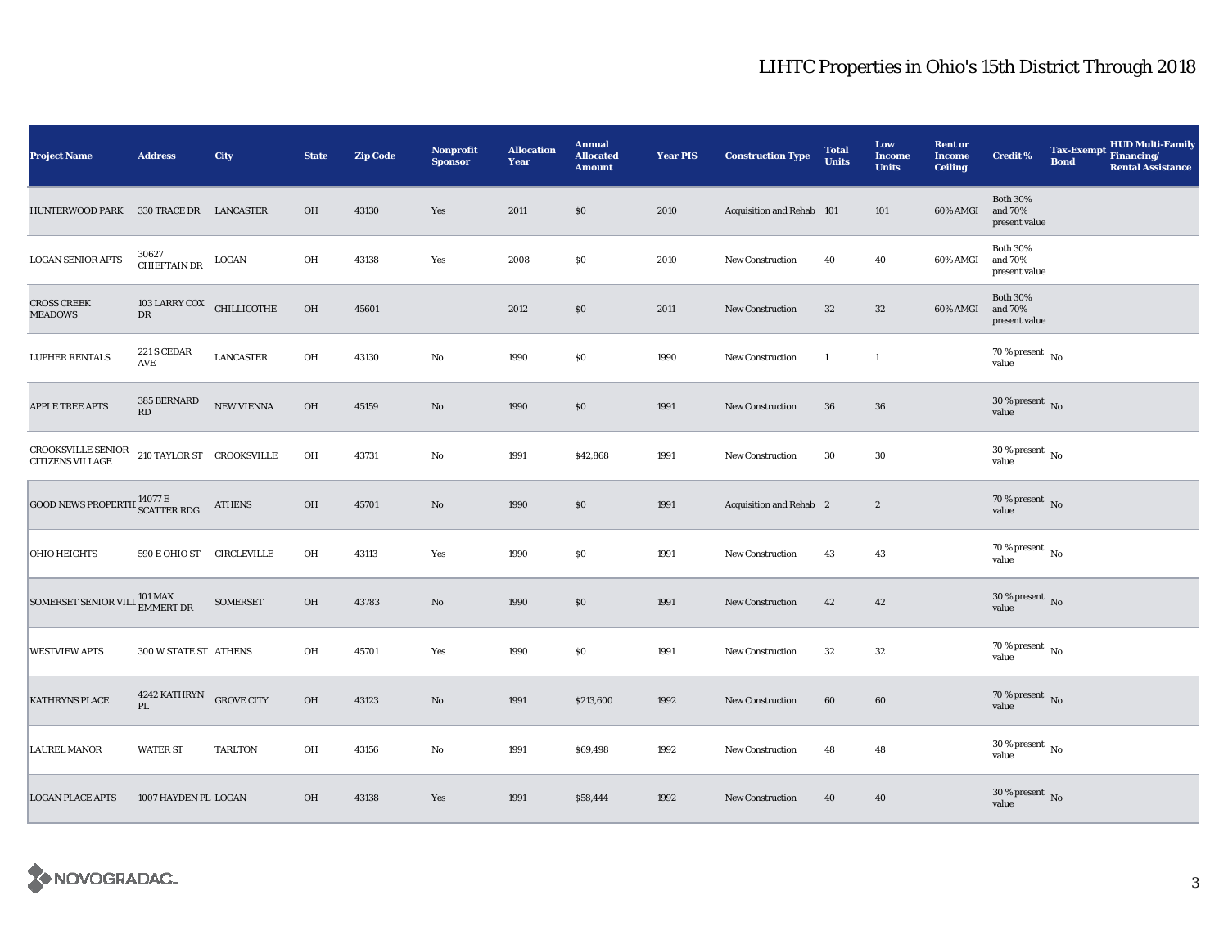| <b>Project Name</b>                                  | <b>Address</b>                               | City              | <b>State</b> | <b>Zip Code</b> | <b>Nonprofit</b><br><b>Sponsor</b> | <b>Allocation</b><br>Year | <b>Annual</b><br><b>Allocated</b><br><b>Amount</b> | <b>Year PIS</b> | <b>Construction Type</b>       | <b>Total</b><br><b>Units</b> | Low<br><b>Income</b><br><b>Units</b> | <b>Rent or</b><br><b>Income</b><br><b>Ceiling</b> | <b>Credit %</b>                             | <b>Tax-Exempt</b><br><b>Bond</b> | HUD Multi-Family<br>Financing/<br><b>Rental Assistance</b> |
|------------------------------------------------------|----------------------------------------------|-------------------|--------------|-----------------|------------------------------------|---------------------------|----------------------------------------------------|-----------------|--------------------------------|------------------------------|--------------------------------------|---------------------------------------------------|---------------------------------------------|----------------------------------|------------------------------------------------------------|
| HUNTERWOOD PARK 330 TRACE DR LANCASTER               |                                              |                   | OH           | 43130           | Yes                                | 2011                      | \$0                                                | 2010            | Acquisition and Rehab 101      |                              | 101                                  | 60% AMGI                                          | <b>Both 30%</b><br>and 70%<br>present value |                                  |                                                            |
| <b>LOGAN SENIOR APTS</b>                             | 30627<br><b>CHIEFTAIN DR</b>                 | LOGAN             | OH           | 43138           | Yes                                | 2008                      | \$0                                                | 2010            | <b>New Construction</b>        | 40                           | 40                                   | 60% AMGI                                          | <b>Both 30%</b><br>and 70%<br>present value |                                  |                                                            |
| <b>CROSS CREEK</b><br><b>MEADOWS</b>                 | 103 LARRY COX CHILLICOTHE<br>${\rm DR}$      |                   | OH           | 45601           |                                    | 2012                      | \$0                                                | 2011            | <b>New Construction</b>        | 32                           | $32\,$                               | 60% AMGI                                          | <b>Both 30%</b><br>and 70%<br>present value |                                  |                                                            |
| <b>LUPHER RENTALS</b>                                | 221 S CEDAR<br>$\operatorname{\mathbf{AVE}}$ | <b>LANCASTER</b>  | OH           | 43130           | No                                 | 1990                      | \$0                                                | 1990            | <b>New Construction</b>        | <sup>1</sup>                 | $\mathbf{1}$                         |                                                   | 70 % present $\hbox{~No}$<br>value          |                                  |                                                            |
| <b>APPLE TREE APTS</b>                               | 385 BERNARD<br>RD                            | NEW VIENNA        | OH           | 45159           | $\mathbf{N}\mathbf{o}$             | 1990                      | \$0                                                | 1991            | New Construction               | 36                           | $36\,$                               |                                                   | $30\,\%$ present $\,$ No value              |                                  |                                                            |
| CROOKSVILLE SENIOR<br>CITIZENS VILLAGE               | 210 TAYLOR ST CROOKSVILLE                    |                   | OH           | 43731           | $\mathbf{No}$                      | 1991                      | \$42,868                                           | 1991            | New Construction               | 30                           | 30                                   |                                                   | $30$ % present $\,$ No $\,$<br>value        |                                  |                                                            |
| <b>GOOD NEWS PROPERTIE 14077 E</b><br>SCATTER RDG    |                                              | <b>ATHENS</b>     | OH           | 45701           | $\mathbf{N}\mathbf{o}$             | 1990                      | \$0                                                | 1991            | <b>Acquisition and Rehab</b> 2 |                              | $\boldsymbol{2}$                     |                                                   | $70$ % present $\,$ No value                |                                  |                                                            |
| <b>OHIO HEIGHTS</b>                                  | 590 E OHIO ST CIRCLEVILLE                    |                   | OH           | 43113           | Yes                                | 1990                      | \$0                                                | 1991            | <b>New Construction</b>        | 43                           | 43                                   |                                                   | $70$ % present $_{\rm{No}}$                 |                                  |                                                            |
| SOMERSET SENIOR VILL <sup>101 MAX</sup><br>EMMERT DR |                                              | <b>SOMERSET</b>   | OH           | 43783           | $\mathbf{N}\mathbf{o}$             | 1990                      | \$0                                                | 1991            | New Construction               | 42                           | 42                                   |                                                   | 30 % present $\,$ No $\,$<br>value          |                                  |                                                            |
| <b>WESTVIEW APTS</b>                                 | 300 W STATE ST ATHENS                        |                   | OH           | 45701           | Yes                                | 1990                      | \$0                                                | 1991            | New Construction               | 32                           | 32                                   |                                                   | 70 % present $\hbox{~No}$<br>value          |                                  |                                                            |
| KATHRYNS PLACE                                       | 4242 KATHRYN<br>PL                           | <b>GROVE CITY</b> | OH           | 43123           | $\mathbf{N}\mathbf{o}$             | 1991                      | \$213,600                                          | 1992            | New Construction               | 60                           | 60                                   |                                                   | $70$ % present $$\rm \, No$$ value          |                                  |                                                            |
| <b>LAUREL MANOR</b>                                  | <b>WATER ST</b>                              | <b>TARLTON</b>    | OH           | 43156           | No                                 | 1991                      | \$69,498                                           | 1992            | <b>New Construction</b>        | 48                           | 48                                   |                                                   | $30$ % present $\,$ No $\,$<br>value        |                                  |                                                            |
| <b>LOGAN PLACE APTS</b>                              | 1007 HAYDEN PL LOGAN                         |                   | OH           | 43138           | Yes                                | 1991                      | \$58,444                                           | 1992            | <b>New Construction</b>        | 40                           | 40                                   |                                                   | $30\,\%$ present $\,$ No value              |                                  |                                                            |

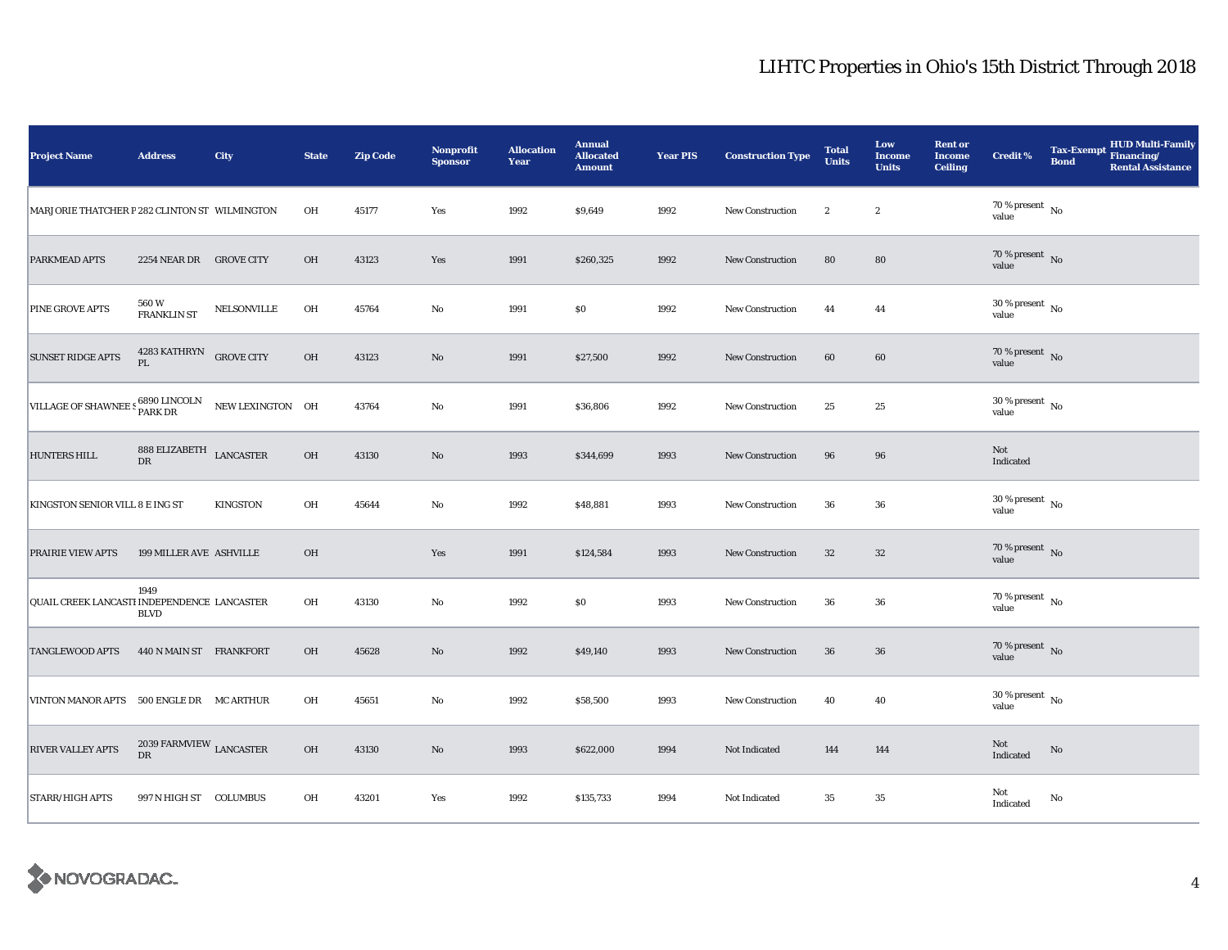| <b>Project Name</b>                           | <b>Address</b>                                   | City             | <b>State</b> | <b>Zip Code</b> | Nonprofit<br><b>Sponsor</b> | <b>Allocation</b><br>Year | <b>Annual</b><br><b>Allocated</b><br><b>Amount</b> | <b>Year PIS</b> | <b>Construction Type</b> | <b>Total</b><br><b>Units</b> | Low<br><b>Income</b><br><b>Units</b> | <b>Rent or</b><br><b>Income</b><br><b>Ceiling</b> | <b>Credit %</b>                        | <b>Tax-Exempt</b><br><b>Bond</b> | HUD Multi-Family<br>Financing/<br><b>Rental Assistance</b> |
|-----------------------------------------------|--------------------------------------------------|------------------|--------------|-----------------|-----------------------------|---------------------------|----------------------------------------------------|-----------------|--------------------------|------------------------------|--------------------------------------|---------------------------------------------------|----------------------------------------|----------------------------------|------------------------------------------------------------|
| MARJORIE THATCHER P 282 CLINTON ST WILMINGTON |                                                  |                  | OH           | 45177           | Yes                         | 1992                      | \$9,649                                            | 1992            | <b>New Construction</b>  | $\boldsymbol{2}$             | $\boldsymbol{2}$                     |                                                   | 70 % present $\hbox{~No}$<br>value     |                                  |                                                            |
| <b>PARKMEAD APTS</b>                          | 2254 NEAR DR GROVE CITY                          |                  | OH           | 43123           | Yes                         | 1991                      | \$260,325                                          | 1992            | <b>New Construction</b>  | 80                           | 80                                   |                                                   | $70$ % present $\,$ No value           |                                  |                                                            |
| <b>PINE GROVE APTS</b>                        | 560 W<br>FRANKLIN ST                             | NELSONVILLE      | OH           | 45764           | No                          | 1991                      | \$0                                                | 1992            | <b>New Construction</b>  | 44                           | 44                                   |                                                   | $30\,\%$ present $\,$ No value         |                                  |                                                            |
| <b>SUNSET RIDGE APTS</b>                      | 4283 KATHRYN GROVE CITY<br>PL                    |                  | OH           | 43123           | $\rm No$                    | 1991                      | \$27,500                                           | 1992            | New Construction         | 60                           | 60                                   |                                                   | $70$ % present $$\rm{No}$$ value       |                                  |                                                            |
| VILLAGE OF SHAWNEE S 6890 LINCOLN             |                                                  | NEW LEXINGTON OH |              | 43764           | No                          | 1991                      | \$36,806                                           | 1992            | <b>New Construction</b>  | 25                           | 25                                   |                                                   | $30\,\%$ present $\,$ No value         |                                  |                                                            |
| <b>HUNTERS HILL</b>                           | $888$ ELIZABETH $$\tt LANCASTER$$<br>$_{\rm DR}$ |                  | $\rm OH$     | 43130           | $\rm No$                    | 1993                      | \$344,699                                          | 1993            | <b>New Construction</b>  | 96                           | 96                                   |                                                   | Not<br>Indicated                       |                                  |                                                            |
| KINGSTON SENIOR VILL 8 E ING ST               |                                                  | <b>KINGSTON</b>  | OH           | 45644           | No                          | 1992                      | \$48,881                                           | 1993            | New Construction         | 36                           | ${\bf 36}$                           |                                                   | $30\,\%$ present $\,$ No $\,$<br>value |                                  |                                                            |
| <b>PRAIRIE VIEW APTS</b>                      | 199 MILLER AVE ASHVILLE                          |                  | OH           |                 | Yes                         | 1991                      | \$124,584                                          | 1993            | <b>New Construction</b>  | 32                           | $32\,$                               |                                                   | $70\,\%$ present $\,$ No value         |                                  |                                                            |
| QUAIL CREEK LANCASTI INDEPENDENCE LANCASTER   | 1949<br><b>BLVD</b>                              |                  | OH           | 43130           | No                          | 1992                      | \$0                                                | 1993            | <b>New Construction</b>  | 36                           | 36                                   |                                                   | $70$ % present $\,$ No $\,$<br>value   |                                  |                                                            |
| <b>TANGLEWOOD APTS</b>                        | 440 N MAIN ST FRANKFORT                          |                  | OH           | 45628           | $\rm No$                    | 1992                      | \$49,140                                           | 1993            | <b>New Construction</b>  | 36                           | 36                                   |                                                   | $70$ % present $\,$ No value           |                                  |                                                            |
| VINTON MANOR APTS                             | 500 ENGLE DR MC ARTHUR                           |                  | OH           | 45651           | No                          | 1992                      | \$58,500                                           | 1993            | New Construction         | 40                           | 40                                   |                                                   | $30$ % present $\,$ No $\,$<br>value   |                                  |                                                            |
| <b>RIVER VALLEY APTS</b>                      | 2039 FARMVIEW $_{\rm LANCASTER}$<br>${\rm DR}$   |                  | OH           | 43130           | $\rm No$                    | 1993                      | \$622,000                                          | 1994            | Not Indicated            | 144                          | 144                                  |                                                   | Not<br>Indicated                       | $\mathbf{No}$                    |                                                            |
| <b>STARR/HIGH APTS</b>                        | 997 N HIGH ST COLUMBUS                           |                  | OH           | 43201           | Yes                         | 1992                      | \$135,733                                          | 1994            | Not Indicated            | $35\,$                       | 35                                   |                                                   | Not<br>Indicated                       | No                               |                                                            |

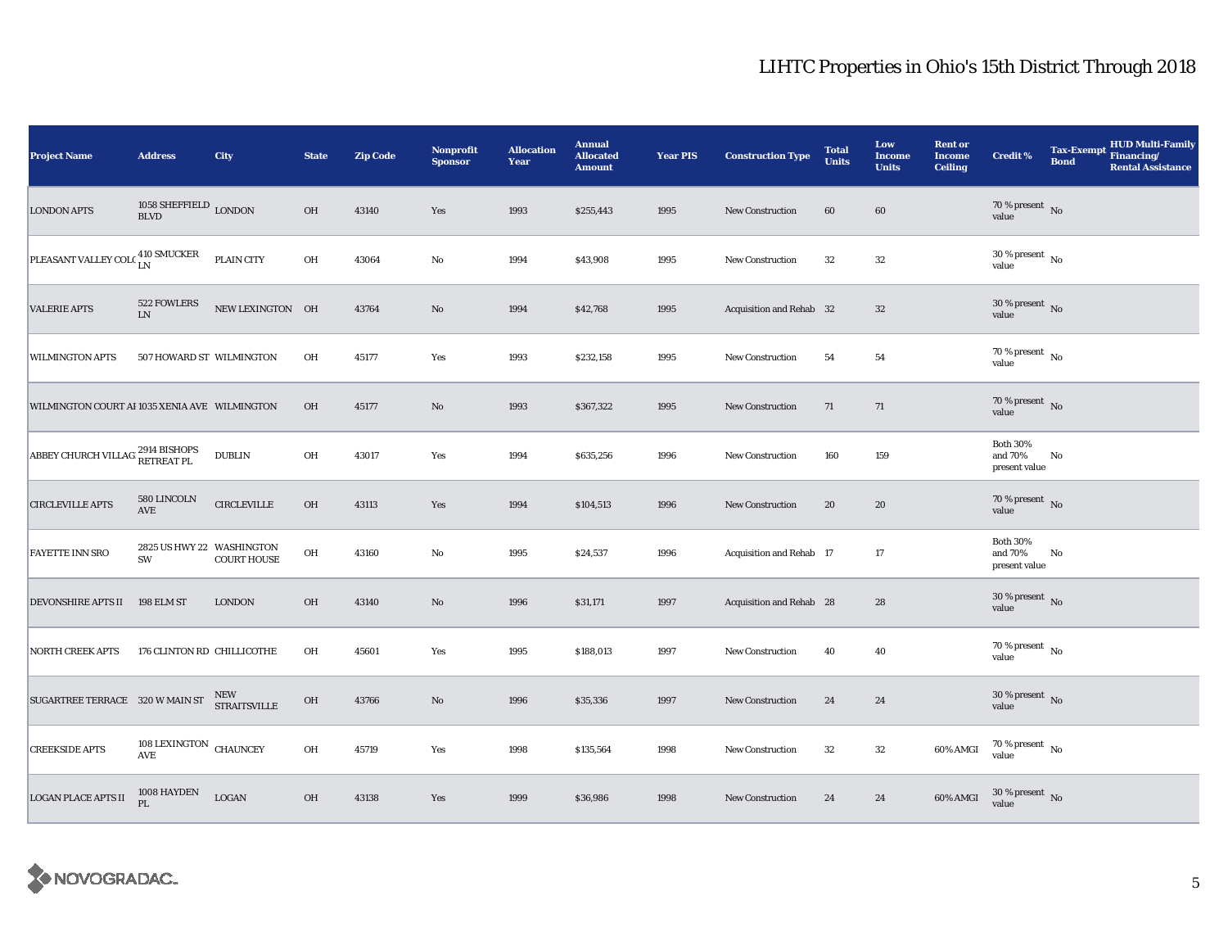| <b>Project Name</b>                                  | <b>Address</b>                                 | City                              | <b>State</b> | <b>Zip Code</b> | Nonprofit<br><b>Sponsor</b> | <b>Allocation</b><br>Year | <b>Annual</b><br><b>Allocated</b><br><b>Amount</b> | <b>Year PIS</b> | <b>Construction Type</b> | <b>Total</b><br><b>Units</b> | Low<br><b>Income</b><br><b>Units</b> | <b>Rent or</b><br><b>Income</b><br><b>Ceiling</b> | <b>Credit %</b>                             | <b>Tax-Exempt</b><br><b>Bond</b> | <b>HUD Multi-Family</b><br>Financing/<br><b>Rental Assistance</b> |
|------------------------------------------------------|------------------------------------------------|-----------------------------------|--------------|-----------------|-----------------------------|---------------------------|----------------------------------------------------|-----------------|--------------------------|------------------------------|--------------------------------------|---------------------------------------------------|---------------------------------------------|----------------------------------|-------------------------------------------------------------------|
| <b>LONDON APTS</b>                                   | 1058 SHEFFIELD $_{\rm LONDON}$<br><b>BLVD</b>  |                                   | <b>OH</b>    | 43140           | Yes                         | 1993                      | \$255,443                                          | 1995            | <b>New Construction</b>  | 60                           | 60                                   |                                                   | $70$ % present $\,$ No value                |                                  |                                                                   |
| PLEASANT VALLEY COLC $^{410\, \rm SMUCKER}_{\rm LN}$ |                                                | PLAIN CITY                        | OH           | 43064           | $\rm No$                    | 1994                      | \$43,908                                           | 1995            | <b>New Construction</b>  | 32                           | $32\,$                               |                                                   | $30\,\%$ present $\,$ No $\,$<br>value      |                                  |                                                                   |
| <b>VALERIE APTS</b>                                  | 522 FOWLERS<br>${\rm LN}$                      | NEW LEXINGTON OH                  |              | 43764           | $\rm No$                    | 1994                      | \$42,768                                           | 1995            | Acquisition and Rehab 32 |                              | $32\,$                               |                                                   | $30\%$ present No<br>value                  |                                  |                                                                   |
| <b>WILMINGTON APTS</b>                               | 507 HOWARD ST WILMINGTON                       |                                   | OH           | 45177           | Yes                         | 1993                      | \$232,158                                          | 1995            | New Construction         | 54                           | 54                                   |                                                   | 70 % present $\hbox{~No}$<br>value          |                                  |                                                                   |
| WILMINGTON COURT AI 1035 XENIA AVE WILMINGTON        |                                                |                                   | OH           | 45177           | $\rm No$                    | 1993                      | \$367,322                                          | 1995            | New Construction         | 71                           | 71                                   |                                                   | $70$ % present $\,$ No value                |                                  |                                                                   |
| ABBEY CHURCH VILLAG 2914 BISHOPS                     |                                                | <b>DUBLIN</b>                     | OH           | 43017           | Yes                         | 1994                      | \$635,256                                          | 1996            | <b>New Construction</b>  | 160                          | 159                                  |                                                   | <b>Both 30%</b><br>and 70%<br>present value | No                               |                                                                   |
| <b>CIRCLEVILLE APTS</b>                              | 580 LINCOLN<br>$\operatorname{\mathbf{AVE}}$   | ${\tt CIRCLEVILLE}$               | OH           | 43113           | Yes                         | 1994                      | \$104,513                                          | 1996            | <b>New Construction</b>  | 20                           | 20                                   |                                                   | $70$ % present $_{\rm{No}}$ $_{\rm{value}}$ |                                  |                                                                   |
| <b>FAYETTE INN SRO</b>                               | 2825 US HWY 22 WASHINGTON<br>SW                | <b>COURT HOUSE</b>                | OH           | 43160           | $\rm No$                    | 1995                      | \$24,537                                           | 1996            | Acquisition and Rehab 17 |                              | 17                                   |                                                   | <b>Both 30%</b><br>and 70%<br>present value | No                               |                                                                   |
| DEVONSHIRE APTS II 198 ELM ST                        |                                                | <b>LONDON</b>                     | OH           | 43140           | No                          | 1996                      | \$31,171                                           | 1997            | Acquisition and Rehab 28 |                              | 28                                   |                                                   | $30$ % present $\,$ No $\,$<br>value        |                                  |                                                                   |
| <b>NORTH CREEK APTS</b>                              | 176 CLINTON RD CHILLICOTHE                     |                                   | OH           | 45601           | Yes                         | 1995                      | \$188,013                                          | 1997            | <b>New Construction</b>  | 40                           | 40                                   |                                                   | $70$ % present $\,$ No $\,$<br>value        |                                  |                                                                   |
| SUGARTREE TERRACE 320 W MAIN ST                      |                                                | <b>NEW</b><br><b>STRAITSVILLE</b> | OH           | 43766           | No                          | 1996                      | \$35,336                                           | 1997            | <b>New Construction</b>  | 24                           | 24                                   |                                                   | $30$ % present $\,$ No $\,$<br>value        |                                  |                                                                   |
| <b>CREEKSIDE APTS</b>                                | 108 LEXINGTON CHAUNCEY<br>$\operatorname{AVE}$ |                                   | OH           | 45719           | Yes                         | 1998                      | \$135,564                                          | 1998            | <b>New Construction</b>  | 32                           | $32\,$                               | 60% AMGI                                          | $70\,\%$ present $\,$ No value              |                                  |                                                                   |
| <b>LOGAN PLACE APTS II</b>                           | 1008 HAYDEN<br><b>PL</b>                       | $_{\rm LOGAN}$                    | OH           | 43138           | Yes                         | 1999                      | \$36,986                                           | 1998            | <b>New Construction</b>  | 24                           | 24                                   | 60% AMGI                                          | $30$ % present $\,$ No value                |                                  |                                                                   |

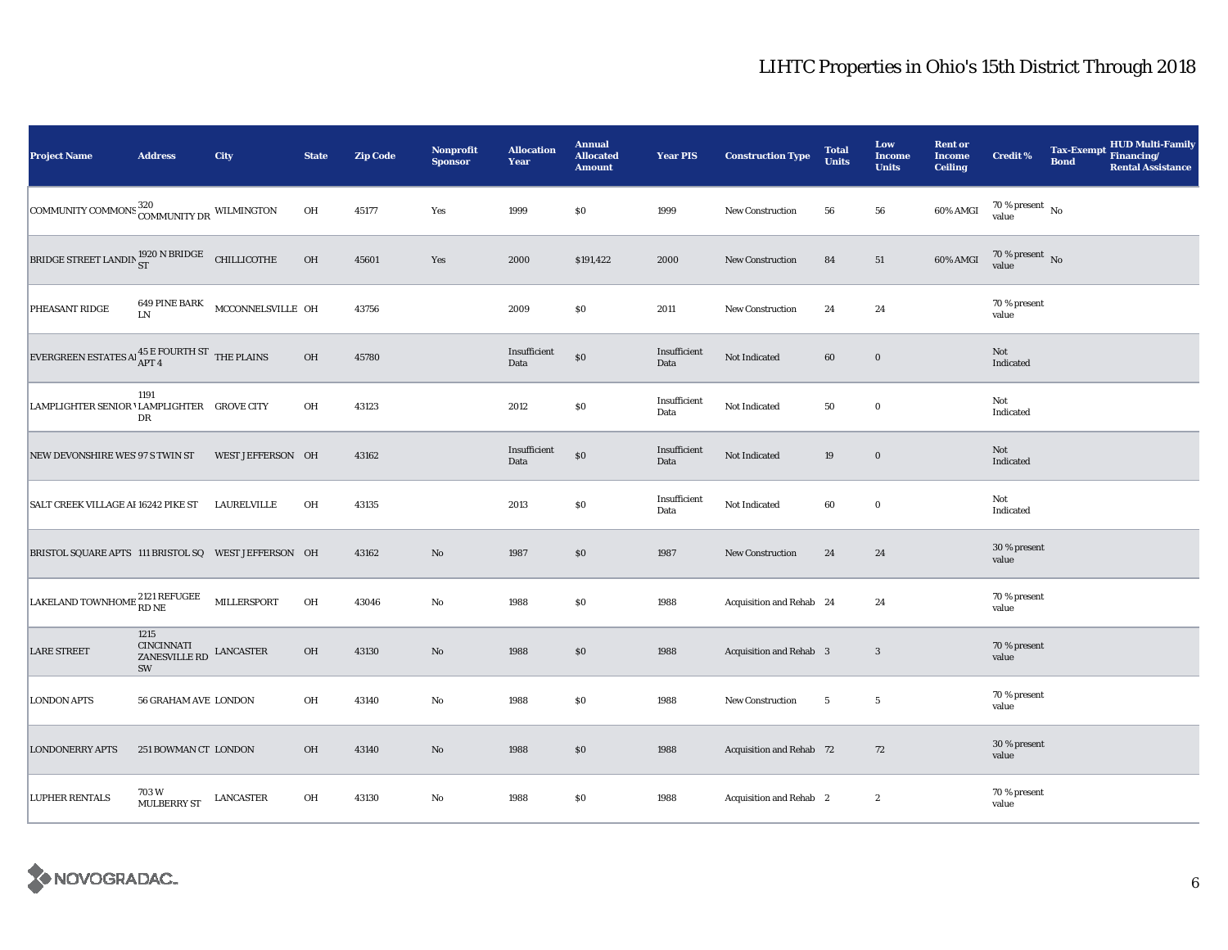| <b>Project Name</b>                                                                                                    | <b>Address</b>                                             | City                            | <b>State</b> | <b>Zip Code</b> | <b>Nonprofit</b><br><b>Sponsor</b> | <b>Allocation</b><br>Year | <b>Annual</b><br><b>Allocated</b><br><b>Amount</b> | <b>Year PIS</b>      | <b>Construction Type</b> | <b>Total</b><br><b>Units</b> | Low<br><b>Income</b><br><b>Units</b> | <b>Rent or</b><br><b>Income</b><br><b>Ceiling</b> | <b>Credit %</b>                      | <b>Tax-Exempt</b><br><b>Bond</b> | HUD Multi-Family<br>Financing/<br><b>Rental Assistance</b> |
|------------------------------------------------------------------------------------------------------------------------|------------------------------------------------------------|---------------------------------|--------------|-----------------|------------------------------------|---------------------------|----------------------------------------------------|----------------------|--------------------------|------------------------------|--------------------------------------|---------------------------------------------------|--------------------------------------|----------------------------------|------------------------------------------------------------|
| COMMUNITY COMMONS COMMUNITY DR WILMINGTON                                                                              |                                                            |                                 | OH           | 45177           | Yes                                | 1999                      | S <sub>0</sub>                                     | 1999                 | <b>New Construction</b>  | 56                           | 56                                   | 60% AMGI                                          | 70 % present $\hbox{~No}$<br>value   |                                  |                                                            |
| BRIDGE STREET LANDIN $_{\rm ST}^{1920\text{ N BRIDGE}}$ CHILLICOTHE                                                    |                                                            |                                 | OH           | 45601           | Yes                                | 2000                      | \$191,422                                          | 2000                 | <b>New Construction</b>  | 84                           | 51                                   | 60% AMGI                                          | $70$ % present $\,$ No $\,$<br>value |                                  |                                                            |
| PHEASANT RIDGE                                                                                                         | LN                                                         | 649 PINE BARK MCCONNELSVILLE OH |              | 43756           |                                    | 2009                      | $\$0$                                              | 2011                 | New Construction         | 24                           | 24                                   |                                                   | 70 % present<br>value                |                                  |                                                            |
| EVERGREEN ESTATES Al $^{45}_{\rm APT~4}$ E FOURTH ST THE PLAINS                                                        |                                                            |                                 | OH           | 45780           |                                    | Insufficient<br>Data      | $\$0$                                              | Insufficient<br>Data | Not Indicated            | 60                           | $\mathbf 0$                          |                                                   | Not<br>Indicated                     |                                  |                                                            |
| LAMPLIGHTER SENIOR 'LAMPLIGHTER GROVE CITY                                                                             | 1191<br>DR                                                 |                                 | OH           | 43123           |                                    | 2012                      | $\$0$                                              | Insufficient<br>Data | Not Indicated            | 50                           | $\bf{0}$                             |                                                   | Not<br>Indicated                     |                                  |                                                            |
| NEW DEVONSHIRE WES 97 S TWIN ST                                                                                        |                                                            | WEST JEFFERSON OH               |              | 43162           |                                    | Insufficient<br>Data      | $\$0$                                              | Insufficient<br>Data | Not Indicated            | 19                           | $\bf{0}$                             |                                                   | Not<br>Indicated                     |                                  |                                                            |
| SALT CREEK VILLAGE AI 16242 PIKE ST                                                                                    |                                                            | LAURELVILLE                     | OH           | 43135           |                                    | 2013                      | $\$0$                                              | Insufficient<br>Data | Not Indicated            | 60                           | $\bf{0}$                             |                                                   | Not<br>Indicated                     |                                  |                                                            |
| BRISTOL SQUARE APTS 111 BRISTOL SQ WEST JEFFERSON OH                                                                   |                                                            |                                 |              | 43162           | $\rm No$                           | 1987                      | \$0                                                | 1987                 | New Construction         | 24                           | 24                                   |                                                   | 30 % present<br>value                |                                  |                                                            |
| $\begin{tabular}{ l l } \hline LAKELAND TOWNHOME & \textbf{2121 REFUGE} & \textbf{MILLERSPORT} \\\hline \end{tabular}$ |                                                            |                                 | OH           | 43046           | $\rm No$                           | 1988                      | $\$0$                                              | 1988                 | Acquisition and Rehab 24 |                              | 24                                   |                                                   | 70 % present<br>value                |                                  |                                                            |
| <b>LARE STREET</b>                                                                                                     | 1215<br><b>CINCINNATI</b><br>ZANESVILLE RD LANCASTER<br>SW |                                 | OH           | 43130           | $\rm No$                           | 1988                      | \$0                                                | 1988                 | Acquisition and Rehab 3  |                              | 3                                    |                                                   | 70 % present<br>value                |                                  |                                                            |
| <b>LONDON APTS</b>                                                                                                     | 56 GRAHAM AVE LONDON                                       |                                 | OH           | 43140           | $\rm No$                           | 1988                      | \$0                                                | 1988                 | New Construction         | $5\phantom{.0}$              | $5\phantom{.0}$                      |                                                   | 70 % present<br>value                |                                  |                                                            |
| <b>LONDONERRY APTS</b>                                                                                                 | 251 BOWMAN CT LONDON                                       |                                 | OH           | 43140           | $\rm No$                           | 1988                      | \$0                                                | 1988                 | Acquisition and Rehab 72 |                              | 72                                   |                                                   | 30 % present<br>value                |                                  |                                                            |
| <b>LUPHER RENTALS</b>                                                                                                  | 703 W<br>MULBERRY ST                                       | LANCASTER                       | OH           | 43130           | No                                 | 1988                      | $\$0$                                              | 1988                 | Acquisition and Rehab 2  |                              | $\boldsymbol{2}$                     |                                                   | 70 % present<br>value                |                                  |                                                            |

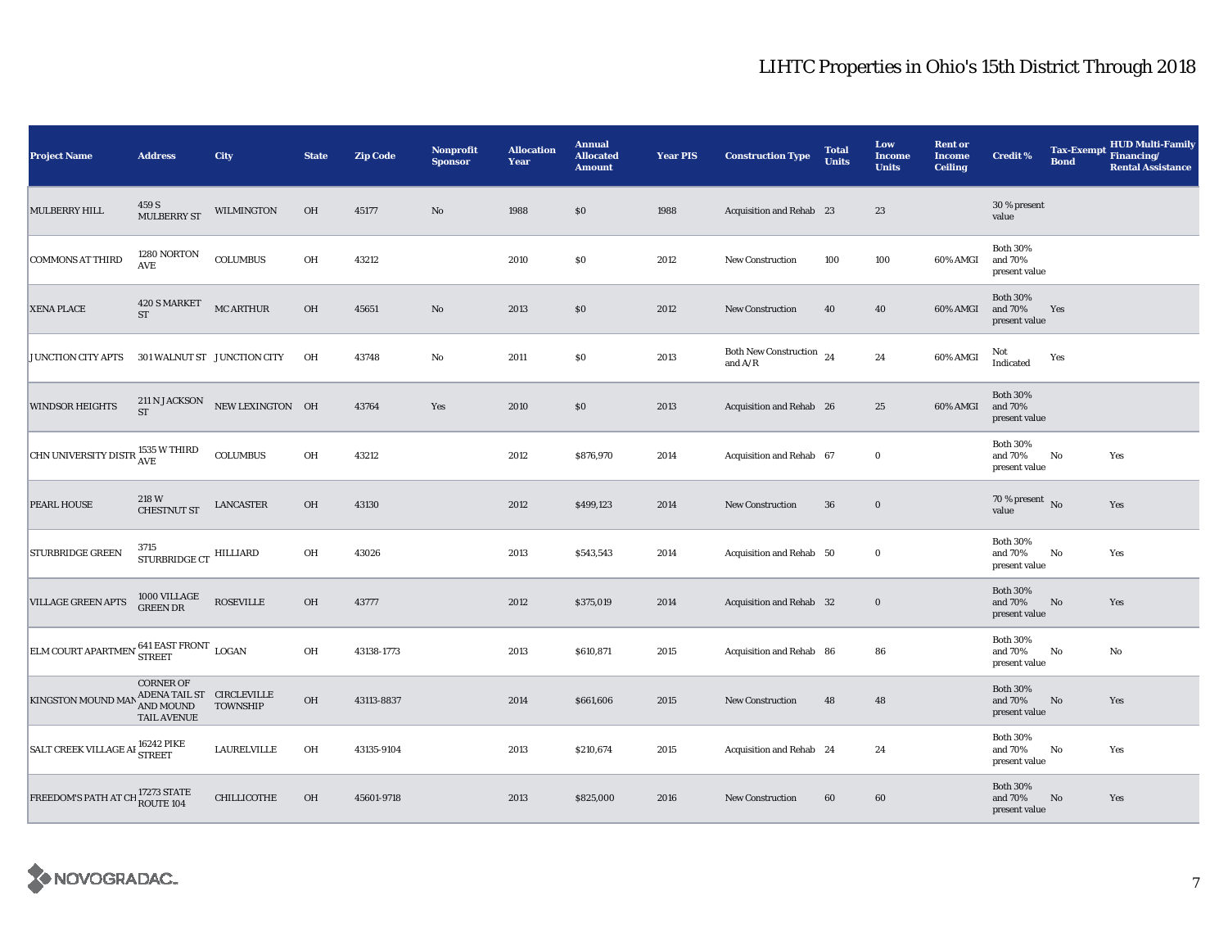| <b>Project Name</b>                                                                       | <b>Address</b>                                                                                                                                          | City                        | <b>State</b> | <b>Zip Code</b> | Nonprofit<br><b>Sponsor</b> | <b>Allocation</b><br>Year | <b>Annual</b><br><b>Allocated</b><br><b>Amount</b> | <b>Year PIS</b> | <b>Construction Type</b>                                    | <b>Total</b><br><b>Units</b> | Low<br><b>Income</b><br><b>Units</b> | <b>Rent or</b><br><b>Income</b><br><b>Ceiling</b> | <b>Credit %</b>                             | <b>Tax-Exempt</b><br><b>Bond</b> | <b>HUD Multi-Family</b><br>Financing/<br><b>Rental Assistance</b> |
|-------------------------------------------------------------------------------------------|---------------------------------------------------------------------------------------------------------------------------------------------------------|-----------------------------|--------------|-----------------|-----------------------------|---------------------------|----------------------------------------------------|-----------------|-------------------------------------------------------------|------------------------------|--------------------------------------|---------------------------------------------------|---------------------------------------------|----------------------------------|-------------------------------------------------------------------|
| <b>MULBERRY HILL</b>                                                                      | 459 S<br><b>MULBERRY ST</b>                                                                                                                             | <b>WILMINGTON</b>           | <b>OH</b>    | 45177           | $\rm No$                    | 1988                      | \$0                                                | 1988            | Acquisition and Rehab 23                                    |                              | 23                                   |                                                   | 30 % present<br>value                       |                                  |                                                                   |
| <b>COMMONS AT THIRD</b>                                                                   | 1280 NORTON<br>AVE                                                                                                                                      | <b>COLUMBUS</b>             | OH           | 43212           |                             | 2010                      | \$0                                                | 2012            | New Construction                                            | 100                          | 100                                  | 60% AMGI                                          | <b>Both 30%</b><br>and 70%<br>present value |                                  |                                                                   |
| <b>XENA PLACE</b>                                                                         | 420 S MARKET<br>$\operatorname{ST}$                                                                                                                     | MC ARTHUR                   | $OH$         | 45651           | $\rm No$                    | 2013                      | \$0                                                | 2012            | New Construction                                            | 40                           | 40                                   | 60% AMGI                                          | <b>Both 30%</b><br>and 70%<br>present value | Yes                              |                                                                   |
| <b>JUNCTION CITY APTS</b>                                                                 |                                                                                                                                                         | 301 WALNUT ST JUNCTION CITY | OH           | 43748           | No                          | 2011                      | \$0                                                | 2013            | <b>Both New Construction</b><br>and $\mathrm{A}/\mathrm{R}$ | 24                           | 24                                   | 60% AMGI                                          | Not<br>Indicated                            | Yes                              |                                                                   |
| <b>WINDSOR HEIGHTS</b>                                                                    | <b>211 N JACKSON</b><br><b>ST</b>                                                                                                                       | NEW LEXINGTON OH            |              | 43764           | Yes                         | 2010                      | $\$0$                                              | 2013            | Acquisition and Rehab 26                                    |                              | 25                                   | 60% AMGI                                          | <b>Both 30%</b><br>and 70%<br>present value |                                  |                                                                   |
| CHN UNIVERSITY DISTR <sup>1535</sup> W THIRD                                              |                                                                                                                                                         | <b>COLUMBUS</b>             | OH           | 43212           |                             | 2012                      | \$876,970                                          | 2014            | Acquisition and Rehab 67                                    |                              | $\bf{0}$                             |                                                   | <b>Both 30%</b><br>and 70%<br>present value | No                               | Yes                                                               |
| PEARL HOUSE                                                                               | 218 W<br><b>CHESTNUT ST</b>                                                                                                                             | <b>LANCASTER</b>            | OH           | 43130           |                             | 2012                      | \$499,123                                          | 2014            | <b>New Construction</b>                                     | 36                           | $\bf{0}$                             |                                                   | 70 % present $\overline{N_0}$<br>value      |                                  | Yes                                                               |
| <b>STURBRIDGE GREEN</b>                                                                   | 3715<br>$\begin{minipage}{.4\linewidth} \textbf{STURBRIDGE} \textbf{CT} \end{minipage} \begin{minipage}{.4\linewidth} \textbf{HILLIARD} \end{minipage}$ |                             | OH           | 43026           |                             | 2013                      | \$543,543                                          | 2014            | Acquisition and Rehab 50                                    |                              | $\bf{0}$                             |                                                   | <b>Both 30%</b><br>and 70%<br>present value | No                               | Yes                                                               |
| <b>VILLAGE GREEN APTS</b>                                                                 | 1000 VILLAGE<br><b>GREEN DR</b>                                                                                                                         | <b>ROSEVILLE</b>            | OH           | 43777           |                             | 2012                      | \$375,019                                          | 2014            | Acquisition and Rehab 32                                    |                              | $\boldsymbol{0}$                     |                                                   | <b>Both 30%</b><br>and 70%<br>present value | No                               | Yes                                                               |
| $\boxed{\text{ELM COURT APARTMEN}^{\hspace{0.5mm}\textbf{641 EAST FRONT}}\ \text{LOGAN}}$ |                                                                                                                                                         |                             | OH           | 43138-1773      |                             | 2013                      | \$610,871                                          | 2015            | Acquisition and Rehab 86                                    |                              | 86                                   |                                                   | <b>Both 30%</b><br>and 70%<br>present value | No                               | No                                                                |
| <b>KINGSTON MOUND MA</b>                                                                  | <b>CORNER OF</b><br>ADENA TAIL ST $\;$ CIRCLEVILLE<br>AND MOUND<br><b>TAIL AVENUE</b>                                                                   | <b>TOWNSHIP</b>             | $OH$         | 43113-8837      |                             | 2014                      | \$661,606                                          | 2015            | New Construction                                            | 48                           | 48                                   |                                                   | <b>Both 30%</b><br>and 70%<br>present value | No                               | Yes                                                               |
| SALT CREEK VILLAGE AI <sup>16242</sup> PIKE                                               |                                                                                                                                                         | LAURELVILLE                 | OH           | 43135-9104      |                             | 2013                      | \$210,674                                          | 2015            | Acquisition and Rehab 24                                    |                              | 24                                   |                                                   | <b>Both 30%</b><br>and 70%<br>present value | No                               | Yes                                                               |
| FREEDOM'S PATH AT CH 17273 STATE                                                          |                                                                                                                                                         | CHILLICOTHE                 | OH           | 45601-9718      |                             | 2013                      | \$825,000                                          | 2016            | New Construction                                            | 60                           | 60                                   |                                                   | <b>Both 30%</b><br>and 70%<br>present value | No                               | Yes                                                               |

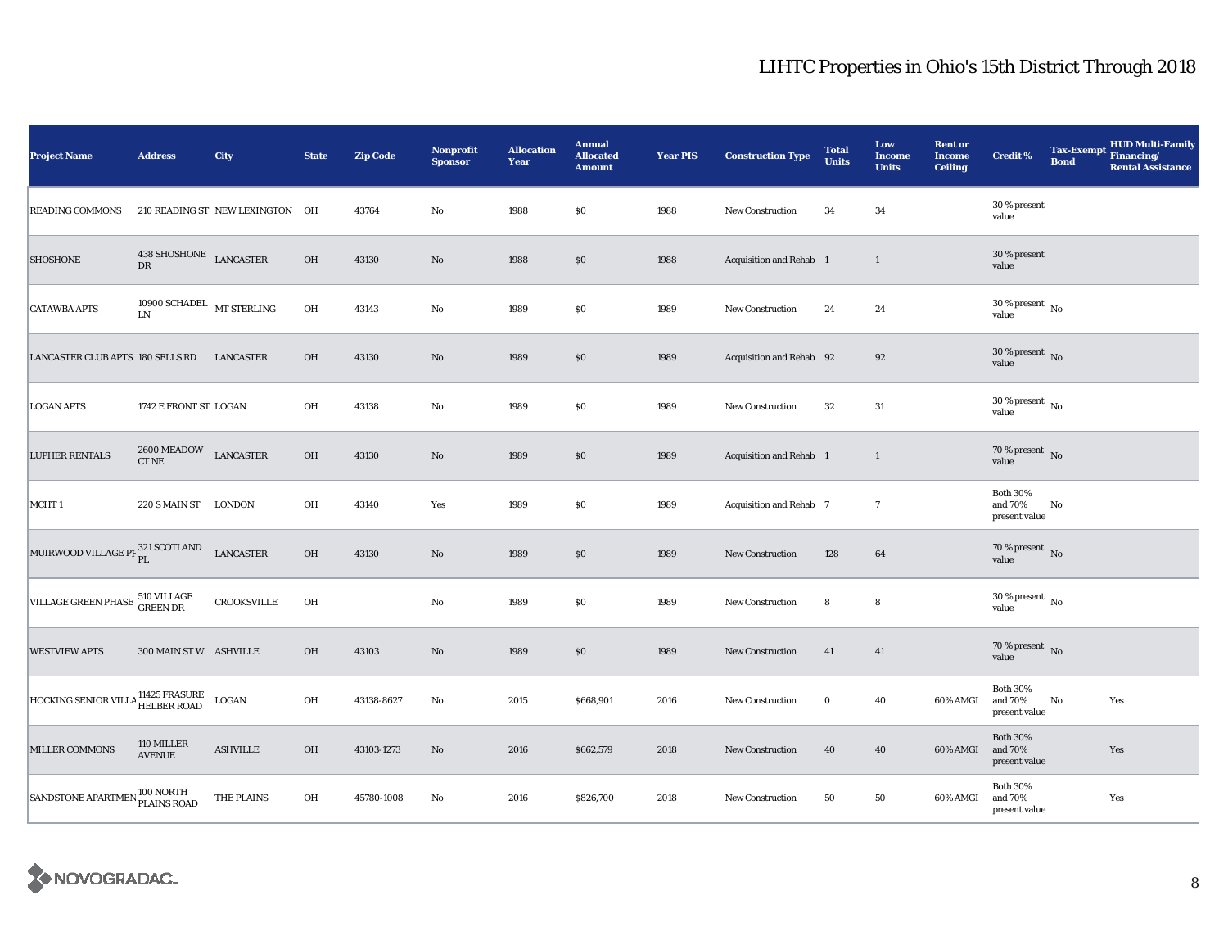| <b>Project Name</b>                           | <b>Address</b>                         | City                            | <b>State</b> | <b>Zip Code</b> | <b>Nonprofit</b><br><b>Sponsor</b> | <b>Allocation</b><br>Year | <b>Annual</b><br><b>Allocated</b><br><b>Amount</b> | <b>Year PIS</b> | <b>Construction Type</b> | <b>Total</b><br><b>Units</b> | Low<br><b>Income</b><br><b>Units</b> | <b>Rent or</b><br><b>Income</b><br><b>Ceiling</b> | <b>Credit %</b>                             | <b>Tax-Exempt</b><br><b>Bond</b> | <b>HUD Multi-Family</b><br>Financing/<br><b>Rental Assistance</b> |
|-----------------------------------------------|----------------------------------------|---------------------------------|--------------|-----------------|------------------------------------|---------------------------|----------------------------------------------------|-----------------|--------------------------|------------------------------|--------------------------------------|---------------------------------------------------|---------------------------------------------|----------------------------------|-------------------------------------------------------------------|
| <b>READING COMMONS</b>                        |                                        | 210 READING ST NEW LEXINGTON OH |              | 43764           | $\rm No$                           | 1988                      | \$0                                                | 1988            | New Construction         | 34                           | 34                                   |                                                   | 30 % present<br>value                       |                                  |                                                                   |
| <b>SHOSHONE</b>                               | $438\:\mathrm{SHOSHONE}$ LANCASTER DR  |                                 | $OH$         | 43130           | No                                 | 1988                      | \$0                                                | 1988            | Acquisition and Rehab 1  |                              | $\mathbf{1}$                         |                                                   | 30 % present<br>value                       |                                  |                                                                   |
| <b>CATAWBA APTS</b>                           | 10900 SCHADEL $\,$ MT STERLING $\,$ LN |                                 | OH           | 43143           | No                                 | 1989                      | $\$0$                                              | 1989            | <b>New Construction</b>  | 24                           | $\bf 24$                             |                                                   | $30\,\%$ present $\,$ No $\,$<br>value      |                                  |                                                                   |
| LANCASTER CLUB APTS 180 SELLS RD              |                                        | LANCASTER                       | OH           | 43130           | $\rm No$                           | 1989                      | \$0                                                | 1989            | Acquisition and Rehab 92 |                              | 92                                   |                                                   | $30$ % present $\,$ No $\,$<br>value        |                                  |                                                                   |
| <b>LOGAN APTS</b>                             | 1742 E FRONT ST LOGAN                  |                                 | OH           | 43138           | No                                 | 1989                      | \$0                                                | 1989            | <b>New Construction</b>  | 32                           | 31                                   |                                                   | $30$ % present $\,$ No $\,$<br>value        |                                  |                                                                   |
| <b>LUPHER RENTALS</b>                         | 2600 MEADOW<br>CT NE                   | LANCASTER                       | $OH$         | 43130           | $\rm No$                           | 1989                      | \$0                                                | 1989            | Acquisition and Rehab 1  |                              | $\mathbf{1}$                         |                                                   | 70 % present $\bar{N}$<br>value             |                                  |                                                                   |
| MCHT <sub>1</sub>                             | 220 S MAIN ST LONDON                   |                                 | OH           | 43140           | Yes                                | 1989                      | \$0                                                | 1989            | Acquisition and Rehab 7  |                              | $\tau$                               |                                                   | <b>Both 30%</b><br>and 70%<br>present value | No                               |                                                                   |
| MUIRWOOD VILLAGE PI <sup>321</sup> SCOTLAND   |                                        | <b>LANCASTER</b>                | $OH$         | 43130           | $\rm No$                           | 1989                      | $\$0$                                              | 1989            | <b>New Construction</b>  | 128                          | $\bf{64}$                            |                                                   | 70 % present $\,$ No $\,$<br>value          |                                  |                                                                   |
| VILLAGE GREEN PHASE 510 VILLAGE               |                                        | <b>CROOKSVILLE</b>              | OH           |                 | $\rm No$                           | 1989                      | \$0                                                | 1989            | New Construction         | 8                            | 8                                    |                                                   | 30 % present $\,$ No $\,$<br>value          |                                  |                                                                   |
| <b>WESTVIEW APTS</b>                          | 300 MAIN ST W ASHVILLE                 |                                 | OH           | 43103           | $\rm No$                           | 1989                      | \$0                                                | 1989            | <b>New Construction</b>  | 41                           | 41                                   |                                                   | 70 % present $\,$ No $\,$<br>value          |                                  |                                                                   |
| HOCKING SENIOR VILLA <sup>11425</sup> FRASURE |                                        | LOGAN                           | OH           | 43138-8627      | No                                 | 2015                      | \$668,901                                          | 2016            | <b>New Construction</b>  | $\bf{0}$                     | 40                                   | 60% AMGI                                          | <b>Both 30%</b><br>and 70%<br>present value | $\mathbf{No}$                    | Yes                                                               |
| <b>MILLER COMMONS</b>                         | 110 MILLER<br><b>AVENUE</b>            | <b>ASHVILLE</b>                 | OH           | 43103-1273      | $\rm No$                           | 2016                      | \$662,579                                          | 2018            | <b>New Construction</b>  | 40                           | 40                                   | 60% AMGI                                          | <b>Both 30%</b><br>and 70%<br>present value |                                  | Yes                                                               |
| SANDSTONE APARTMEN <sup>100</sup> NORTH       |                                        | THE PLAINS                      | OH           | 45780-1008      | No                                 | 2016                      | \$826,700                                          | 2018            | <b>New Construction</b>  | 50                           | 50                                   | 60% AMGI                                          | <b>Both 30%</b><br>and 70%<br>present value |                                  | Yes                                                               |